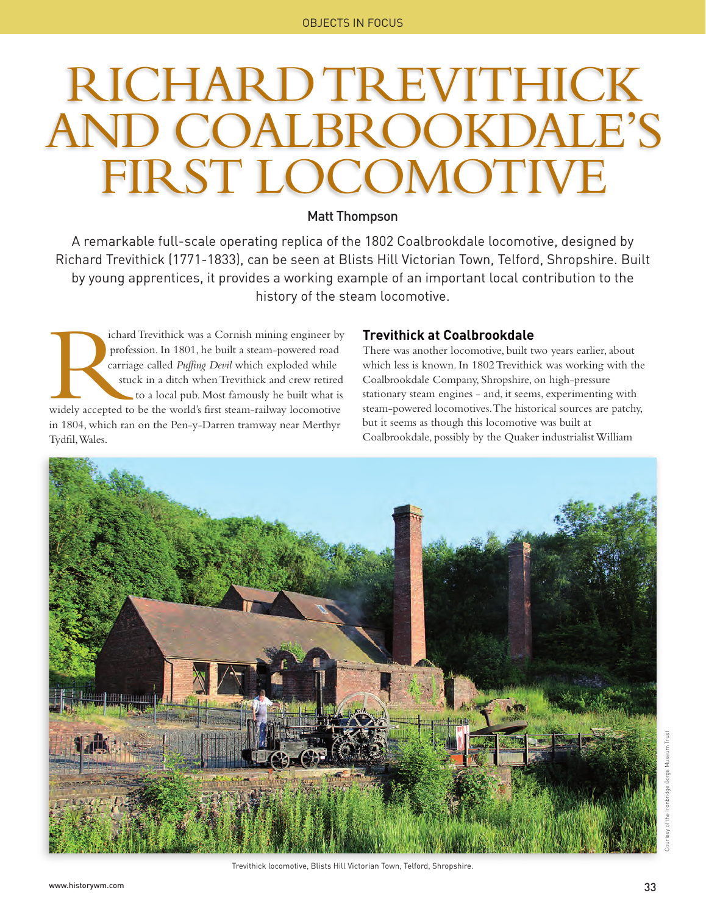# RICHARD TREVITHICK AND COALBROOKDALE'S FIRST LOCOMOTIVE

### Matt Thompson

A remarkable full-scale operating replica of the 1802 Coalbrookdale locomotive, designed by Richard Trevithick (1771-1833), can be seen at Blists Hill Victorian Town, Telford, Shropshire. Built by young apprentices, it provides a working example of an important local contribution to the history of the steam locomotive.

ichard Trevithick was a Cornish mining engineer by profession. In 1801, he built a steam-powered road carriage called *Puffing Devil* which exploded while stuck in a ditch when Trevithick and crew retired to a local pub. Most famously he built what is widely accepted to be the world's first steam-railway locomotive in 1804, which ran on the Pen-y-Darren tramway near Merthyr Tydfil, Wales. External professional profession of the carrier student

### **Trevithick at Coalbrookdale**

There was another locomotive, built two years earlier, about which less is known. In 1802 Trevithick was working with the Coalbrookdale Company, Shropshire, on high-pressure stationary steam engines - and, it seems, experimenting with steam-powered locomotives. The historical sources are patchy, but it seems as though this locomotive was built at Coalbrookdale, possibly by the Quaker industrialist William